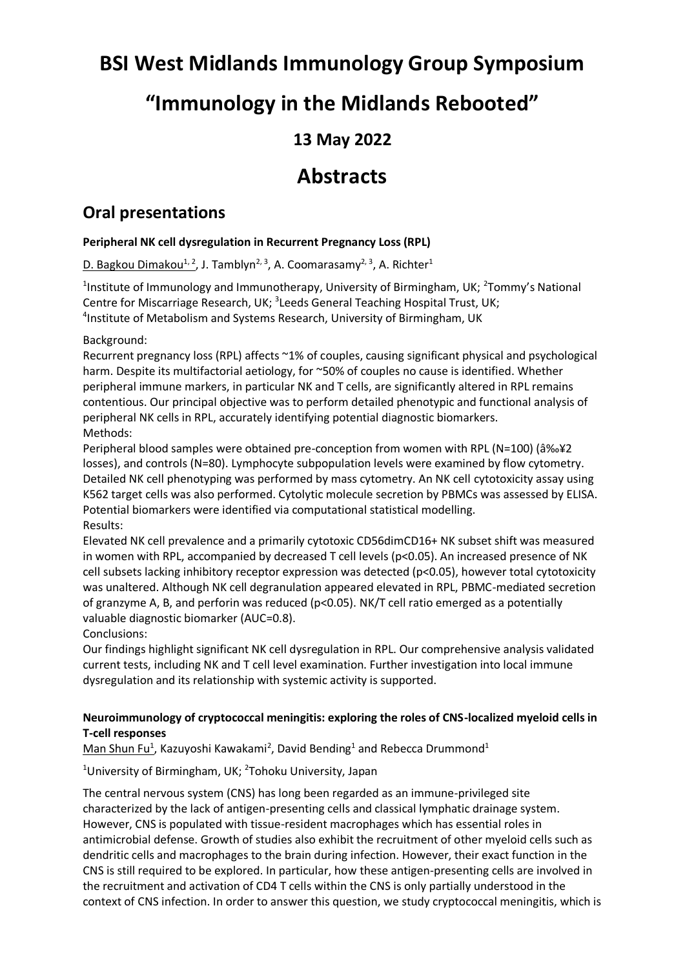# **BSI West Midlands Immunology Group Symposium**

## **"Immunology in the Midlands Rebooted"**

## **13 May 2022**

## **Abstracts**

### **Oral presentations**

#### **Peripheral NK cell dysregulation in Recurrent Pregnancy Loss (RPL)**

D. Bagkou Dimakou<sup>1, 2</sup>, J. Tamblyn<sup>2, 3</sup>, A. Coomarasamy<sup>2, 3</sup>, A. Richter<sup>1</sup>

<sup>1</sup>Institute of Immunology and Immunotherapy, University of Birmingham, UK; <sup>2</sup>Tommy's National Centre for Miscarriage Research, UK; <sup>3</sup>Leeds General Teaching Hospital Trust, UK; 4 Institute of Metabolism and Systems Research, University of Birmingham, UK

#### Background:

Recurrent pregnancy loss (RPL) affects ~1% of couples, causing significant physical and psychological harm. Despite its multifactorial aetiology, for ~50% of couples no cause is identified. Whether peripheral immune markers, in particular NK and T cells, are significantly altered in RPL remains contentious. Our principal objective was to perform detailed phenotypic and functional analysis of peripheral NK cells in RPL, accurately identifying potential diagnostic biomarkers. Methods:

Peripheral blood samples were obtained pre-conception from women with RPL (N=100) ( $\frac{3\%2}{2}$ losses), and controls (N=80). Lymphocyte subpopulation levels were examined by flow cytometry. Detailed NK cell phenotyping was performed by mass cytometry. An NK cell cytotoxicity assay using K562 target cells was also performed. Cytolytic molecule secretion by PBMCs was assessed by ELISA. Potential biomarkers were identified via computational statistical modelling. Results:

Elevated NK cell prevalence and a primarily cytotoxic CD56dimCD16+ NK subset shift was measured in women with RPL, accompanied by decreased T cell levels (p<0.05). An increased presence of NK cell subsets lacking inhibitory receptor expression was detected (p<0.05), however total cytotoxicity was unaltered. Although NK cell degranulation appeared elevated in RPL, PBMC-mediated secretion of granzyme A, B, and perforin was reduced (p<0.05). NK/T cell ratio emerged as a potentially valuable diagnostic biomarker (AUC=0.8).

#### Conclusions:

Our findings highlight significant NK cell dysregulation in RPL. Our comprehensive analysis validated current tests, including NK and T cell level examination. Further investigation into local immune dysregulation and its relationship with systemic activity is supported.

#### **Neuroimmunology of cryptococcal meningitis: exploring the roles of CNS-localized myeloid cells in T-cell responses**

Man Shun Fu<sup>1</sup>, Kazuyoshi Kawakami<sup>2</sup>, David Bending<sup>1</sup> and Rebecca Drummond<sup>1</sup>

<sup>1</sup>University of Birmingham, UK; <sup>2</sup>Tohoku University, Japan

The central nervous system (CNS) has long been regarded as an immune-privileged site characterized by the lack of antigen-presenting cells and classical lymphatic drainage system. However, CNS is populated with tissue-resident macrophages which has essential roles in antimicrobial defense. Growth of studies also exhibit the recruitment of other myeloid cells such as dendritic cells and macrophages to the brain during infection. However, their exact function in the CNS is still required to be explored. In particular, how these antigen-presenting cells are involved in the recruitment and activation of CD4 T cells within the CNS is only partially understood in the context of CNS infection. In order to answer this question, we study cryptococcal meningitis, which is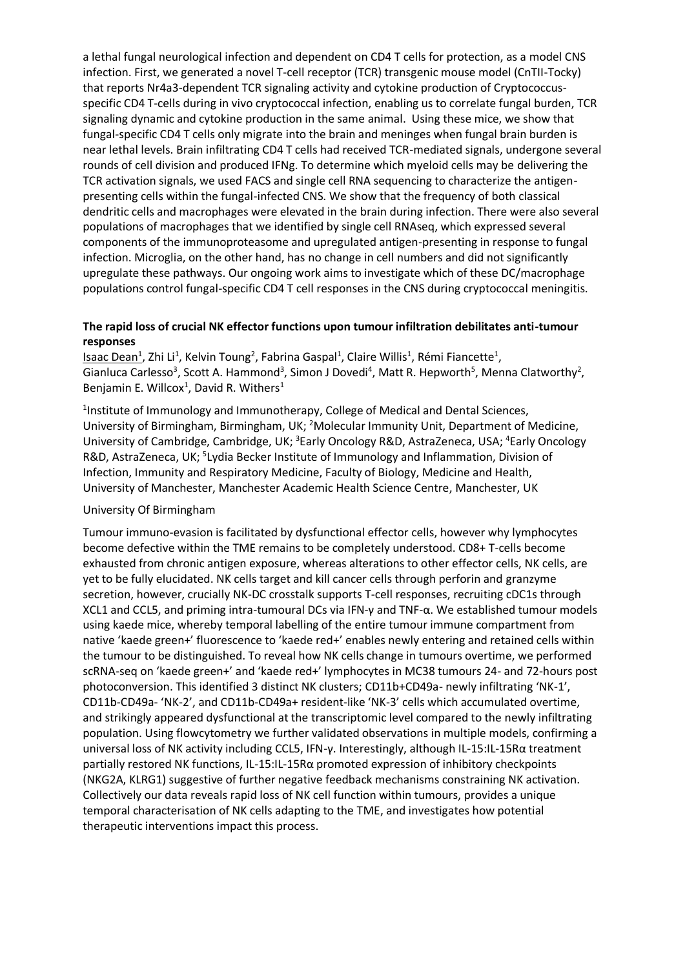a lethal fungal neurological infection and dependent on CD4 T cells for protection, as a model CNS infection. First, we generated a novel T-cell receptor (TCR) transgenic mouse model (CnTII-Tocky) that reports Nr4a3-dependent TCR signaling activity and cytokine production of Cryptococcusspecific CD4 T-cells during in vivo cryptococcal infection, enabling us to correlate fungal burden, TCR signaling dynamic and cytokine production in the same animal. Using these mice, we show that fungal-specific CD4 T cells only migrate into the brain and meninges when fungal brain burden is near lethal levels. Brain infiltrating CD4 T cells had received TCR-mediated signals, undergone several rounds of cell division and produced IFNg. To determine which myeloid cells may be delivering the TCR activation signals, we used FACS and single cell RNA sequencing to characterize the antigenpresenting cells within the fungal-infected CNS. We show that the frequency of both classical dendritic cells and macrophages were elevated in the brain during infection. There were also several populations of macrophages that we identified by single cell RNAseq, which expressed several components of the immunoproteasome and upregulated antigen-presenting in response to fungal infection. Microglia, on the other hand, has no change in cell numbers and did not significantly upregulate these pathways. Our ongoing work aims to investigate which of these DC/macrophage populations control fungal-specific CD4 T cell responses in the CNS during cryptococcal meningitis.

#### **The rapid loss of crucial NK effector functions upon tumour infiltration debilitates anti-tumour responses**

Isaac Dean<sup>1</sup>, Zhi Li<sup>1</sup>, Kelvin Toung<sup>2</sup>, Fabrina Gaspal<sup>1</sup>, Claire Willis<sup>1</sup>, Rémi Fiancette<sup>1</sup>, Gianluca Carlesso<sup>3</sup>, Scott A. Hammond<sup>3</sup>, Simon J Dovedi<sup>4</sup>, Matt R. Hepworth<sup>5</sup>, Menna Clatworthy<sup>2</sup>, Benjamin E. Willcox<sup>1</sup>, David R. Withers<sup>1</sup>

<sup>1</sup>Institute of Immunology and Immunotherapy, College of Medical and Dental Sciences, University of Birmingham, Birmingham, UK; <sup>2</sup>Molecular Immunity Unit, Department of Medicine, University of Cambridge, Cambridge, UK; <sup>3</sup>Early Oncology R&D, AstraZeneca, USA; <sup>4</sup>Early Oncology R&D, AstraZeneca, UK; <sup>5</sup>Lydia Becker Institute of Immunology and Inflammation, Division of Infection, Immunity and Respiratory Medicine, Faculty of Biology, Medicine and Health, University of Manchester, Manchester Academic Health Science Centre, Manchester, UK

#### University Of Birmingham

Tumour immuno-evasion is facilitated by dysfunctional effector cells, however why lymphocytes become defective within the TME remains to be completely understood. CD8+ T-cells become exhausted from chronic antigen exposure, whereas alterations to other effector cells, NK cells, are yet to be fully elucidated. NK cells target and kill cancer cells through perforin and granzyme secretion, however, crucially NK-DC crosstalk supports T-cell responses, recruiting cDC1s through XCL1 and CCL5, and priming intra-tumoural DCs via IFN-γ and TNF-α. We established tumour models using kaede mice, whereby temporal labelling of the entire tumour immune compartment from native 'kaede green+' fluorescence to 'kaede red+' enables newly entering and retained cells within the tumour to be distinguished. To reveal how NK cells change in tumours overtime, we performed scRNA-seq on 'kaede green+' and 'kaede red+' lymphocytes in MC38 tumours 24- and 72-hours post photoconversion. This identified 3 distinct NK clusters; CD11b+CD49a- newly infiltrating 'NK-1', CD11b-CD49a- 'NK-2', and CD11b-CD49a+ resident-like 'NK-3' cells which accumulated overtime, and strikingly appeared dysfunctional at the transcriptomic level compared to the newly infiltrating population. Using flowcytometry we further validated observations in multiple models, confirming a universal loss of NK activity including CCL5, IFN-γ. Interestingly, although IL-15:IL-15Rα treatment partially restored NK functions, IL-15:IL-15Rα promoted expression of inhibitory checkpoints (NKG2A, KLRG1) suggestive of further negative feedback mechanisms constraining NK activation. Collectively our data reveals rapid loss of NK cell function within tumours, provides a unique temporal characterisation of NK cells adapting to the TME, and investigates how potential therapeutic interventions impact this process.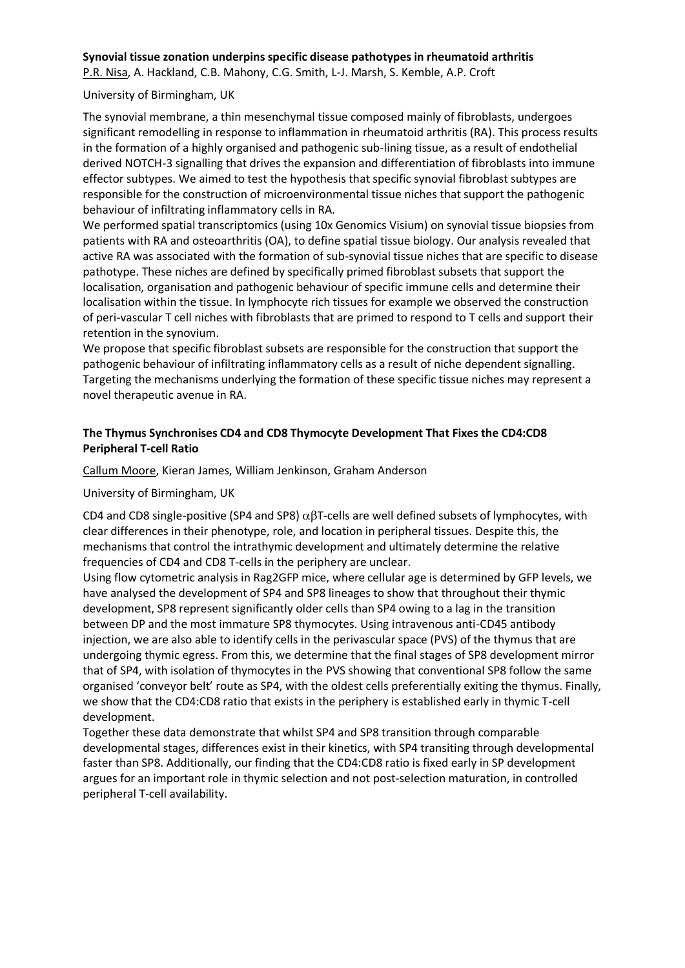#### **Synovial tissue zonation underpins specific disease pathotypes in rheumatoid arthritis**

P.R. Nisa, A. Hackland, C.B. Mahony, C.G. Smith, L-J. Marsh, S. Kemble, A.P. Croft

#### University of Birmingham, UK

The synovial membrane, a thin mesenchymal tissue composed mainly of fibroblasts, undergoes significant remodelling in response to inflammation in rheumatoid arthritis (RA). This process results in the formation of a highly organised and pathogenic sub-lining tissue, as a result of endothelial derived NOTCH-3 signalling that drives the expansion and differentiation of fibroblasts into immune effector subtypes. We aimed to test the hypothesis that specific synovial fibroblast subtypes are responsible for the construction of microenvironmental tissue niches that support the pathogenic behaviour of infiltrating inflammatory cells in RA.

We performed spatial transcriptomics (using 10x Genomics Visium) on synovial tissue biopsies from patients with RA and osteoarthritis (OA), to define spatial tissue biology. Our analysis revealed that active RA was associated with the formation of sub-synovial tissue niches that are specific to disease pathotype. These niches are defined by specifically primed fibroblast subsets that support the localisation, organisation and pathogenic behaviour of specific immune cells and determine their localisation within the tissue. In lymphocyte rich tissues for example we observed the construction of peri-vascular T cell niches with fibroblasts that are primed to respond to T cells and support their retention in the synovium.

We propose that specific fibroblast subsets are responsible for the construction that support the pathogenic behaviour of infiltrating inflammatory cells as a result of niche dependent signalling. Targeting the mechanisms underlying the formation of these specific tissue niches may represent a novel therapeutic avenue in RA.

#### **The Thymus Synchronises CD4 and CD8 Thymocyte Development That Fixes the CD4:CD8 Peripheral T-cell Ratio**

Callum Moore, Kieran James, William Jenkinson, Graham Anderson

University of Birmingham, UK

CD4 and CD8 single-positive (SP4 and SP8)  $\alpha$ BT-cells are well defined subsets of lymphocytes, with clear differences in their phenotype, role, and location in peripheral tissues. Despite this, the mechanisms that control the intrathymic development and ultimately determine the relative frequencies of CD4 and CD8 T-cells in the periphery are unclear.

Using flow cytometric analysis in Rag2GFP mice, where cellular age is determined by GFP levels, we have analysed the development of SP4 and SP8 lineages to show that throughout their thymic development, SP8 represent significantly older cells than SP4 owing to a lag in the transition between DP and the most immature SP8 thymocytes. Using intravenous anti-CD45 antibody injection, we are also able to identify cells in the perivascular space (PVS) of the thymus that are undergoing thymic egress. From this, we determine that the final stages of SP8 development mirror that of SP4, with isolation of thymocytes in the PVS showing that conventional SP8 follow the same organised 'conveyor belt' route as SP4, with the oldest cells preferentially exiting the thymus. Finally, we show that the CD4:CD8 ratio that exists in the periphery is established early in thymic T-cell development.

Together these data demonstrate that whilst SP4 and SP8 transition through comparable developmental stages, differences exist in their kinetics, with SP4 transiting through developmental faster than SP8. Additionally, our finding that the CD4:CD8 ratio is fixed early in SP development argues for an important role in thymic selection and not post-selection maturation, in controlled peripheral T-cell availability.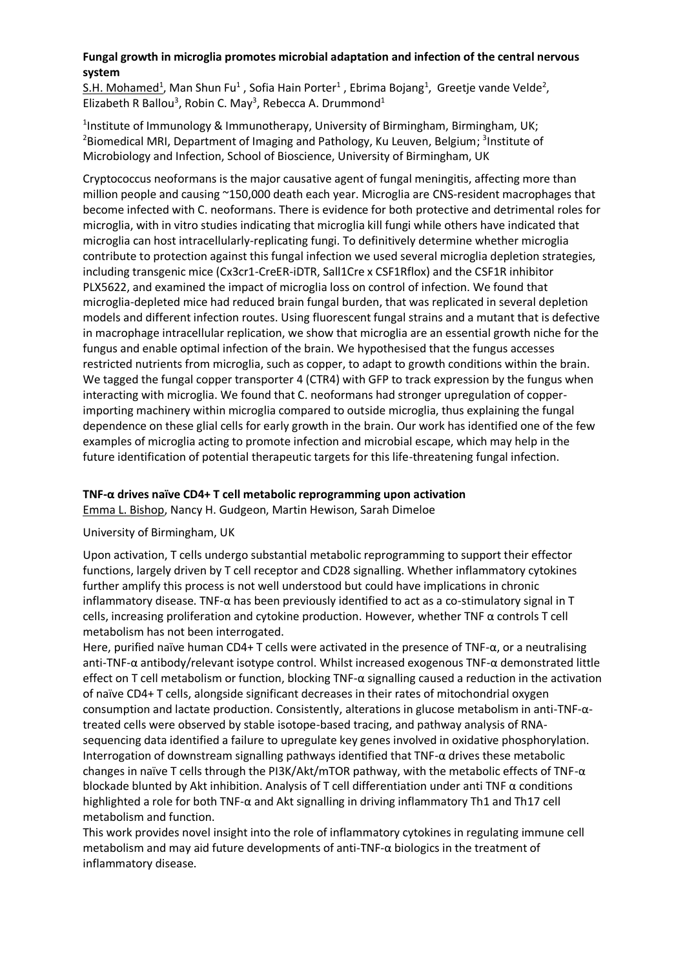#### **Fungal growth in microglia promotes microbial adaptation and infection of the central nervous system**

 $S.H.$  Mohamed<sup>1</sup>, Man Shun Fu<sup>1</sup>, Sofia Hain Porter<sup>1</sup>, Ebrima Bojang<sup>1</sup>, Greetje vande Velde<sup>2</sup>, Elizabeth R Ballou<sup>3</sup>, Robin C. May<sup>3</sup>, Rebecca A. Drummond<sup>1</sup>

<sup>1</sup>Institute of Immunology & Immunotherapy, University of Birmingham, Birmingham, UK; <sup>2</sup>Biomedical MRI, Department of Imaging and Pathology, Ku Leuven, Belgium; <sup>3</sup>Institute of Microbiology and Infection, School of Bioscience, University of Birmingham, UK

Cryptococcus neoformans is the major causative agent of fungal meningitis, affecting more than million people and causing ~150,000 death each year. Microglia are CNS-resident macrophages that become infected with C. neoformans. There is evidence for both protective and detrimental roles for microglia, with in vitro studies indicating that microglia kill fungi while others have indicated that microglia can host intracellularly-replicating fungi. To definitively determine whether microglia contribute to protection against this fungal infection we used several microglia depletion strategies, including transgenic mice (Cx3cr1-CreER-iDTR, Sall1Cre x CSF1Rflox) and the CSF1R inhibitor PLX5622, and examined the impact of microglia loss on control of infection. We found that microglia-depleted mice had reduced brain fungal burden, that was replicated in several depletion models and different infection routes. Using fluorescent fungal strains and a mutant that is defective in macrophage intracellular replication, we show that microglia are an essential growth niche for the fungus and enable optimal infection of the brain. We hypothesised that the fungus accesses restricted nutrients from microglia, such as copper, to adapt to growth conditions within the brain. We tagged the fungal copper transporter 4 (CTR4) with GFP to track expression by the fungus when interacting with microglia. We found that C. neoformans had stronger upregulation of copperimporting machinery within microglia compared to outside microglia, thus explaining the fungal dependence on these glial cells for early growth in the brain. Our work has identified one of the few examples of microglia acting to promote infection and microbial escape, which may help in the future identification of potential therapeutic targets for this life-threatening fungal infection.

#### **TNF-α drives naïve CD4+ T cell metabolic reprogramming upon activation**

Emma L. Bishop, Nancy H. Gudgeon, Martin Hewison, Sarah Dimeloe

#### University of Birmingham, UK

Upon activation, T cells undergo substantial metabolic reprogramming to support their effector functions, largely driven by T cell receptor and CD28 signalling. Whether inflammatory cytokines further amplify this process is not well understood but could have implications in chronic inflammatory disease. TNF- $\alpha$  has been previously identified to act as a co-stimulatory signal in T cells, increasing proliferation and cytokine production. However, whether TNF α controls T cell metabolism has not been interrogated.

Here, purified naïve human CD4+ T cells were activated in the presence of TNF-α, or a neutralising anti-TNF-α antibody/relevant isotype control. Whilst increased exogenous TNF-α demonstrated little effect on T cell metabolism or function, blocking TNF-α signalling caused a reduction in the activation of naïve CD4+ T cells, alongside significant decreases in their rates of mitochondrial oxygen consumption and lactate production. Consistently, alterations in glucose metabolism in anti-TNF-αtreated cells were observed by stable isotope-based tracing, and pathway analysis of RNAsequencing data identified a failure to upregulate key genes involved in oxidative phosphorylation. Interrogation of downstream signalling pathways identified that TNF-α drives these metabolic changes in naïve T cells through the PI3K/Akt/mTOR pathway, with the metabolic effects of TNF-α blockade blunted by Akt inhibition. Analysis of T cell differentiation under anti TNF α conditions highlighted a role for both TNF-α and Akt signalling in driving inflammatory Th1 and Th17 cell metabolism and function.

This work provides novel insight into the role of inflammatory cytokines in regulating immune cell metabolism and may aid future developments of anti-TNF- $\alpha$  biologics in the treatment of inflammatory disease.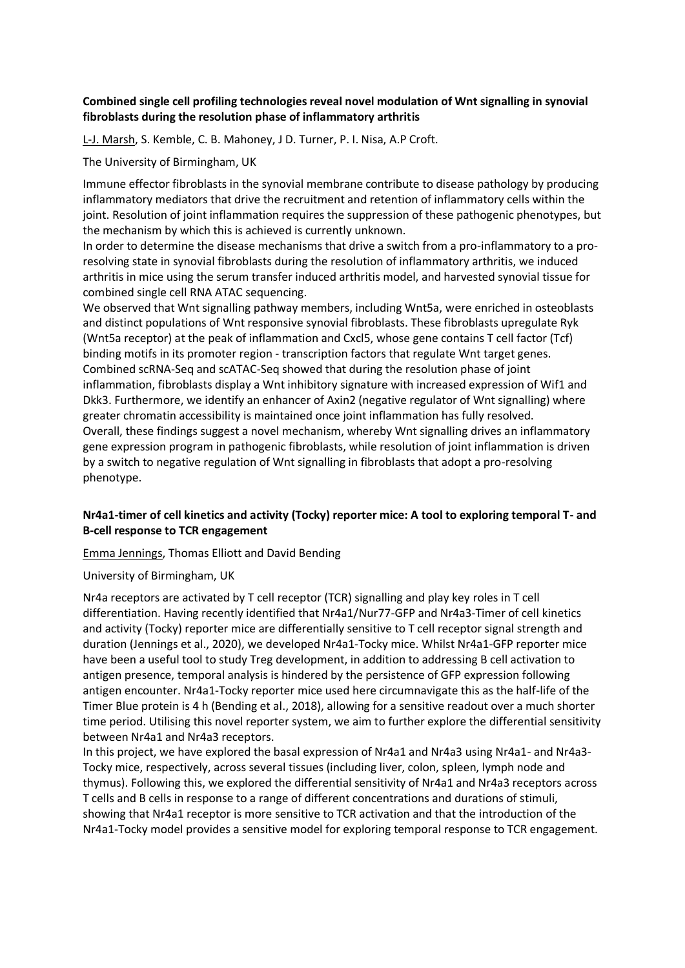#### **Combined single cell profiling technologies reveal novel modulation of Wnt signalling in synovial fibroblasts during the resolution phase of inflammatory arthritis**

L-J. Marsh, S. Kemble, C. B. Mahoney, J D. Turner, P. I. Nisa, A.P Croft.

The University of Birmingham, UK

Immune effector fibroblasts in the synovial membrane contribute to disease pathology by producing inflammatory mediators that drive the recruitment and retention of inflammatory cells within the joint. Resolution of joint inflammation requires the suppression of these pathogenic phenotypes, but the mechanism by which this is achieved is currently unknown.

In order to determine the disease mechanisms that drive a switch from a pro-inflammatory to a proresolving state in synovial fibroblasts during the resolution of inflammatory arthritis, we induced arthritis in mice using the serum transfer induced arthritis model, and harvested synovial tissue for combined single cell RNA ATAC sequencing.

We observed that Wnt signalling pathway members, including Wnt5a, were enriched in osteoblasts and distinct populations of Wnt responsive synovial fibroblasts. These fibroblasts upregulate Ryk (Wnt5a receptor) at the peak of inflammation and Cxcl5, whose gene contains T cell factor (Tcf) binding motifs in its promoter region - transcription factors that regulate Wnt target genes. Combined scRNA-Seq and scATAC-Seq showed that during the resolution phase of joint inflammation, fibroblasts display a Wnt inhibitory signature with increased expression of Wif1 and Dkk3. Furthermore, we identify an enhancer of Axin2 (negative regulator of Wnt signalling) where greater chromatin accessibility is maintained once joint inflammation has fully resolved. Overall, these findings suggest a novel mechanism, whereby Wnt signalling drives an inflammatory gene expression program in pathogenic fibroblasts, while resolution of joint inflammation is driven by a switch to negative regulation of Wnt signalling in fibroblasts that adopt a pro-resolving phenotype.

#### **Nr4a1-timer of cell kinetics and activity (Tocky) reporter mice: A tool to exploring temporal T- and B-cell response to TCR engagement**

Emma Jennings, Thomas Elliott and David Bending

University of Birmingham, UK

Nr4a receptors are activated by T cell receptor (TCR) signalling and play key roles in T cell differentiation. Having recently identified that Nr4a1/Nur77-GFP and Nr4a3-Timer of cell kinetics and activity (Tocky) reporter mice are differentially sensitive to T cell receptor signal strength and duration (Jennings et al., 2020), we developed Nr4a1-Tocky mice. Whilst Nr4a1-GFP reporter mice have been a useful tool to study Treg development, in addition to addressing B cell activation to antigen presence, temporal analysis is hindered by the persistence of GFP expression following antigen encounter. Nr4a1-Tocky reporter mice used here circumnavigate this as the half-life of the Timer Blue protein is 4 h (Bending et al., 2018), allowing for a sensitive readout over a much shorter time period. Utilising this novel reporter system, we aim to further explore the differential sensitivity between Nr4a1 and Nr4a3 receptors.

In this project, we have explored the basal expression of Nr4a1 and Nr4a3 using Nr4a1- and Nr4a3- Tocky mice, respectively, across several tissues (including liver, colon, spleen, lymph node and thymus). Following this, we explored the differential sensitivity of Nr4a1 and Nr4a3 receptors across T cells and B cells in response to a range of different concentrations and durations of stimuli, showing that Nr4a1 receptor is more sensitive to TCR activation and that the introduction of the Nr4a1-Tocky model provides a sensitive model for exploring temporal response to TCR engagement.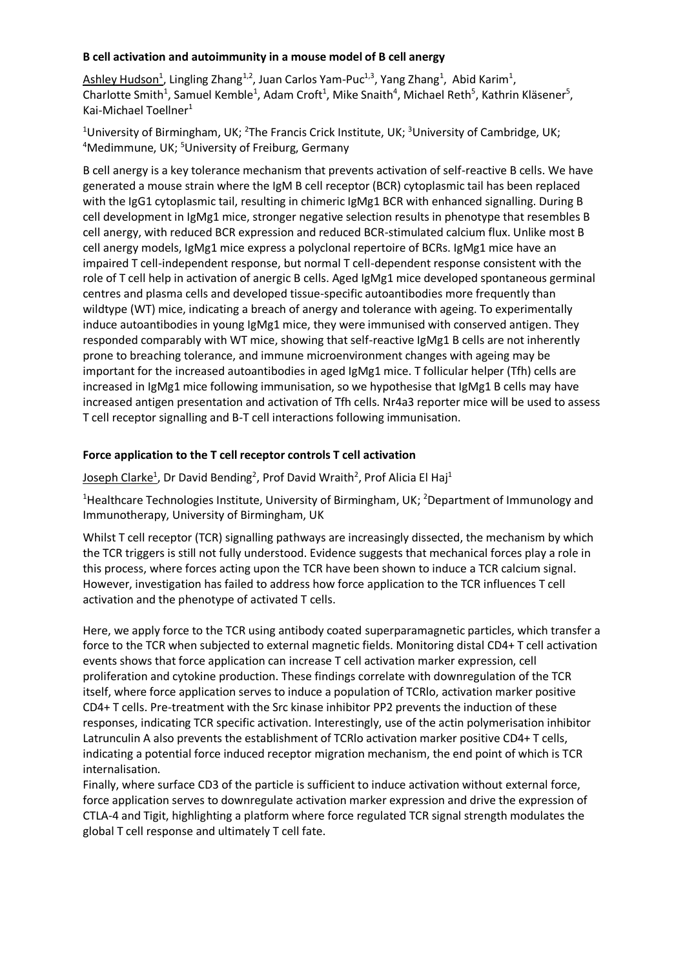#### **B cell activation and autoimmunity in a mouse model of B cell anergy**

Ashley Hudson<sup>1</sup>, Lingling Zhang<sup>1,2</sup>, Juan Carlos Yam-Puc<sup>1,3</sup>, Yang Zhang<sup>1</sup>, Abid Karim<sup>1</sup>, Charlotte Smith<sup>1</sup>, Samuel Kemble<sup>1</sup>, Adam Croft<sup>1</sup>, Mike Snaith<sup>4</sup>, Michael Reth<sup>5</sup>, Kathrin Kläsener<sup>5</sup>, Kai-Michael Toellner<sup>1</sup>

<sup>1</sup>University of Birmingham, UK; <sup>2</sup>The Francis Crick Institute, UK; <sup>3</sup>University of Cambridge, UK; <sup>4</sup>Medimmune, UK; <sup>5</sup>University of Freiburg, Germany

B cell anergy is a key tolerance mechanism that prevents activation of self-reactive B cells. We have generated a mouse strain where the IgM B cell receptor (BCR) cytoplasmic tail has been replaced with the IgG1 cytoplasmic tail, resulting in chimeric IgMg1 BCR with enhanced signalling. During B cell development in IgMg1 mice, stronger negative selection results in phenotype that resembles B cell anergy, with reduced BCR expression and reduced BCR-stimulated calcium flux. Unlike most B cell anergy models, IgMg1 mice express a polyclonal repertoire of BCRs. IgMg1 mice have an impaired T cell-independent response, but normal T cell-dependent response consistent with the role of T cell help in activation of anergic B cells. Aged IgMg1 mice developed spontaneous germinal centres and plasma cells and developed tissue-specific autoantibodies more frequently than wildtype (WT) mice, indicating a breach of anergy and tolerance with ageing. To experimentally induce autoantibodies in young IgMg1 mice, they were immunised with conserved antigen. They responded comparably with WT mice, showing that self-reactive IgMg1 B cells are not inherently prone to breaching tolerance, and immune microenvironment changes with ageing may be important for the increased autoantibodies in aged IgMg1 mice. T follicular helper (Tfh) cells are increased in IgMg1 mice following immunisation, so we hypothesise that IgMg1 B cells may have increased antigen presentation and activation of Tfh cells. Nr4a3 reporter mice will be used to assess T cell receptor signalling and B-T cell interactions following immunisation.

#### **Force application to the T cell receptor controls T cell activation**

Joseph Clarke<sup>1</sup>, Dr David Bending<sup>2</sup>, Prof David Wraith<sup>2</sup>, Prof Alicia El Haj<sup>1</sup>

<sup>1</sup>Healthcare Technologies Institute, University of Birmingham, UK; <sup>2</sup>Department of Immunology and Immunotherapy, University of Birmingham, UK

Whilst T cell receptor (TCR) signalling pathways are increasingly dissected, the mechanism by which the TCR triggers is still not fully understood. Evidence suggests that mechanical forces play a role in this process, where forces acting upon the TCR have been shown to induce a TCR calcium signal. However, investigation has failed to address how force application to the TCR influences T cell activation and the phenotype of activated T cells.

Here, we apply force to the TCR using antibody coated superparamagnetic particles, which transfer a force to the TCR when subjected to external magnetic fields. Monitoring distal CD4+ T cell activation events shows that force application can increase T cell activation marker expression, cell proliferation and cytokine production. These findings correlate with downregulation of the TCR itself, where force application serves to induce a population of TCRlo, activation marker positive CD4+ T cells. Pre-treatment with the Src kinase inhibitor PP2 prevents the induction of these responses, indicating TCR specific activation. Interestingly, use of the actin polymerisation inhibitor Latrunculin A also prevents the establishment of TCRlo activation marker positive CD4+ T cells, indicating a potential force induced receptor migration mechanism, the end point of which is TCR internalisation.

Finally, where surface CD3 of the particle is sufficient to induce activation without external force, force application serves to downregulate activation marker expression and drive the expression of CTLA-4 and Tigit, highlighting a platform where force regulated TCR signal strength modulates the global T cell response and ultimately T cell fate.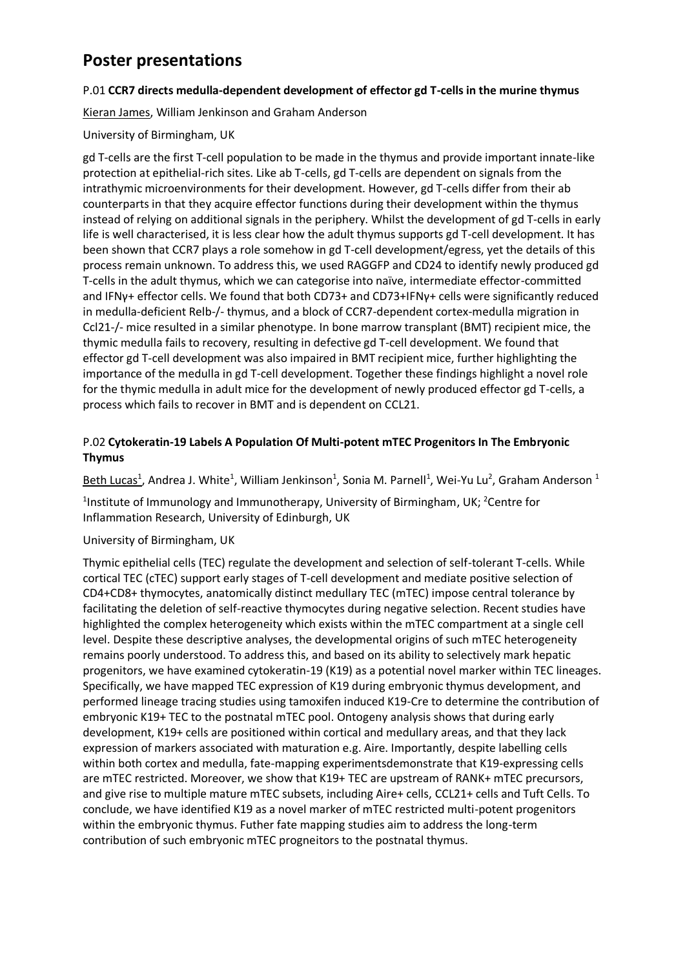### **Poster presentations**

#### P.01 **CCR7 directs medulla-dependent development of effector gd T-cells in the murine thymus**

Kieran James, William Jenkinson and Graham Anderson

#### University of Birmingham, UK

gd T-cells are the first T-cell population to be made in the thymus and provide important innate-like protection at epithelial-rich sites. Like ab T-cells, gd T-cells are dependent on signals from the intrathymic microenvironments for their development. However, gd T-cells differ from their ab counterparts in that they acquire effector functions during their development within the thymus instead of relying on additional signals in the periphery. Whilst the development of gd T-cells in early life is well characterised, it is less clear how the adult thymus supports gd T-cell development. It has been shown that CCR7 plays a role somehow in gd T-cell development/egress, yet the details of this process remain unknown. To address this, we used RAGGFP and CD24 to identify newly produced gd T-cells in the adult thymus, which we can categorise into naïve, intermediate effector-committed and IFNγ+ effector cells. We found that both CD73+ and CD73+IFNγ+ cells were significantly reduced in medulla-deficient Relb-/- thymus, and a block of CCR7-dependent cortex-medulla migration in Ccl21-/- mice resulted in a similar phenotype. In bone marrow transplant (BMT) recipient mice, the thymic medulla fails to recovery, resulting in defective gd T-cell development. We found that effector gd T-cell development was also impaired in BMT recipient mice, further highlighting the importance of the medulla in gd T-cell development. Together these findings highlight a novel role for the thymic medulla in adult mice for the development of newly produced effector gd T-cells, a process which fails to recover in BMT and is dependent on CCL21.

#### P.02 **Cytokeratin-19 Labels A Population Of Multi-potent mTEC Progenitors In The Embryonic Thymus**

Beth Lucas<sup>1</sup>, Andrea J. White<sup>1</sup>, William Jenkinson<sup>1</sup>, Sonia M. Parnell<sup>1</sup>, Wei-Yu Lu<sup>2</sup>, Graham Anderson <sup>1</sup>

<sup>1</sup>Institute of Immunology and Immunotherapy, University of Birmingham, UK; <sup>2</sup>Centre for Inflammation Research, University of Edinburgh, UK

#### University of Birmingham, UK

Thymic epithelial cells (TEC) regulate the development and selection of self-tolerant T-cells. While cortical TEC (cTEC) support early stages of T-cell development and mediate positive selection of CD4+CD8+ thymocytes, anatomically distinct medullary TEC (mTEC) impose central tolerance by facilitating the deletion of self-reactive thymocytes during negative selection. Recent studies have highlighted the complex heterogeneity which exists within the mTEC compartment at a single cell level. Despite these descriptive analyses, the developmental origins of such mTEC heterogeneity remains poorly understood. To address this, and based on its ability to selectively mark hepatic progenitors, we have examined cytokeratin-19 (K19) as a potential novel marker within TEC lineages. Specifically, we have mapped TEC expression of K19 during embryonic thymus development, and performed lineage tracing studies using tamoxifen induced K19-Cre to determine the contribution of embryonic K19+ TEC to the postnatal mTEC pool. Ontogeny analysis shows that during early development, K19+ cells are positioned within cortical and medullary areas, and that they lack expression of markers associated with maturation e.g. Aire. Importantly, despite labelling cells within both cortex and medulla, fate-mapping experimentsdemonstrate that K19-expressing cells are mTEC restricted. Moreover, we show that K19+ TEC are upstream of RANK+ mTEC precursors, and give rise to multiple mature mTEC subsets, including Aire+ cells, CCL21+ cells and Tuft Cells. To conclude, we have identified K19 as a novel marker of mTEC restricted multi-potent progenitors within the embryonic thymus. Futher fate mapping studies aim to address the long-term contribution of such embryonic mTEC progneitors to the postnatal thymus.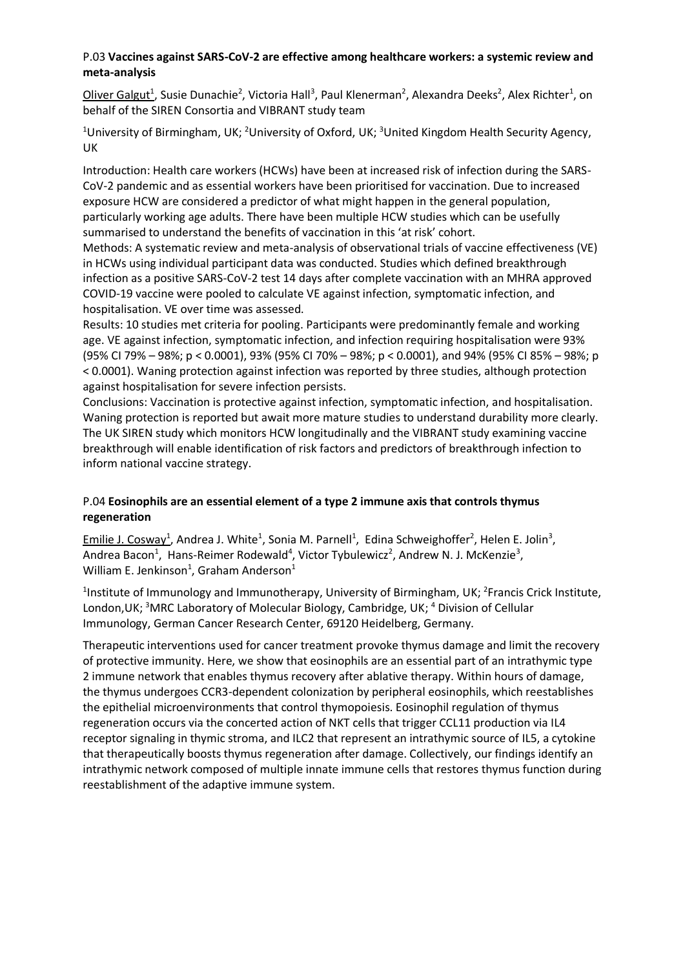#### P.03 **Vaccines against SARS-CoV-2 are effective among healthcare workers: a systemic review and meta-analysis**

Oliver Galgut<sup>1</sup>, Susie Dunachie<sup>2</sup>, Victoria Hall<sup>3</sup>, Paul Klenerman<sup>2</sup>, Alexandra Deeks<sup>2</sup>, Alex Richter<sup>1</sup>, on behalf of the SIREN Consortia and VIBRANT study team

<sup>1</sup>University of Birmingham, UK; <sup>2</sup>University of Oxford, UK; <sup>3</sup>United Kingdom Health Security Agency, UK

Introduction: Health care workers (HCWs) have been at increased risk of infection during the SARS-CoV-2 pandemic and as essential workers have been prioritised for vaccination. Due to increased exposure HCW are considered a predictor of what might happen in the general population, particularly working age adults. There have been multiple HCW studies which can be usefully summarised to understand the benefits of vaccination in this 'at risk' cohort.

Methods: A systematic review and meta-analysis of observational trials of vaccine effectiveness (VE) in HCWs using individual participant data was conducted. Studies which defined breakthrough infection as a positive SARS-CoV-2 test 14 days after complete vaccination with an MHRA approved COVID-19 vaccine were pooled to calculate VE against infection, symptomatic infection, and hospitalisation. VE over time was assessed.

Results: 10 studies met criteria for pooling. Participants were predominantly female and working age. VE against infection, symptomatic infection, and infection requiring hospitalisation were 93% (95% CI 79% – 98%; p < 0.0001), 93% (95% CI 70% – 98%; p < 0.0001), and 94% (95% CI 85% – 98%; p < 0.0001). Waning protection against infection was reported by three studies, although protection against hospitalisation for severe infection persists.

Conclusions: Vaccination is protective against infection, symptomatic infection, and hospitalisation. Waning protection is reported but await more mature studies to understand durability more clearly. The UK SIREN study which monitors HCW longitudinally and the VIBRANT study examining vaccine breakthrough will enable identification of risk factors and predictors of breakthrough infection to inform national vaccine strategy.

#### P.04 **Eosinophils are an essential element of a type 2 immune axis that controls thymus regeneration**

Emilie J. Cosway<sup>1</sup>, Andrea J. White<sup>1</sup>, Sonia M. Parnell<sup>1</sup>, Edina Schweighoffer<sup>2</sup>, Helen E. Jolin<sup>3</sup>, Andrea Bacon<sup>1</sup>, Hans-Reimer Rodewald<sup>4</sup>, Victor Tybulewicz<sup>2</sup>, Andrew N. J. McKenzie<sup>3</sup>, William E. Jenkinson<sup>1</sup>, Graham Anderson<sup>1</sup>

<sup>1</sup>Institute of Immunology and Immunotherapy, University of Birmingham, UK; <sup>2</sup>Francis Crick Institute, London, UK; <sup>3</sup>MRC Laboratory of Molecular Biology, Cambridge, UK;  $4$  Division of Cellular Immunology, German Cancer Research Center, 69120 Heidelberg, Germany.

Therapeutic interventions used for cancer treatment provoke thymus damage and limit the recovery of protective immunity. Here, we show that eosinophils are an essential part of an intrathymic type 2 immune network that enables thymus recovery after ablative therapy. Within hours of damage, the thymus undergoes CCR3-dependent colonization by peripheral eosinophils, which reestablishes the epithelial microenvironments that control thymopoiesis. Eosinophil regulation of thymus regeneration occurs via the concerted action of NKT cells that trigger CCL11 production via IL4 receptor signaling in thymic stroma, and ILC2 that represent an intrathymic source of IL5, a cytokine that therapeutically boosts thymus regeneration after damage. Collectively, our findings identify an intrathymic network composed of multiple innate immune cells that restores thymus function during reestablishment of the adaptive immune system.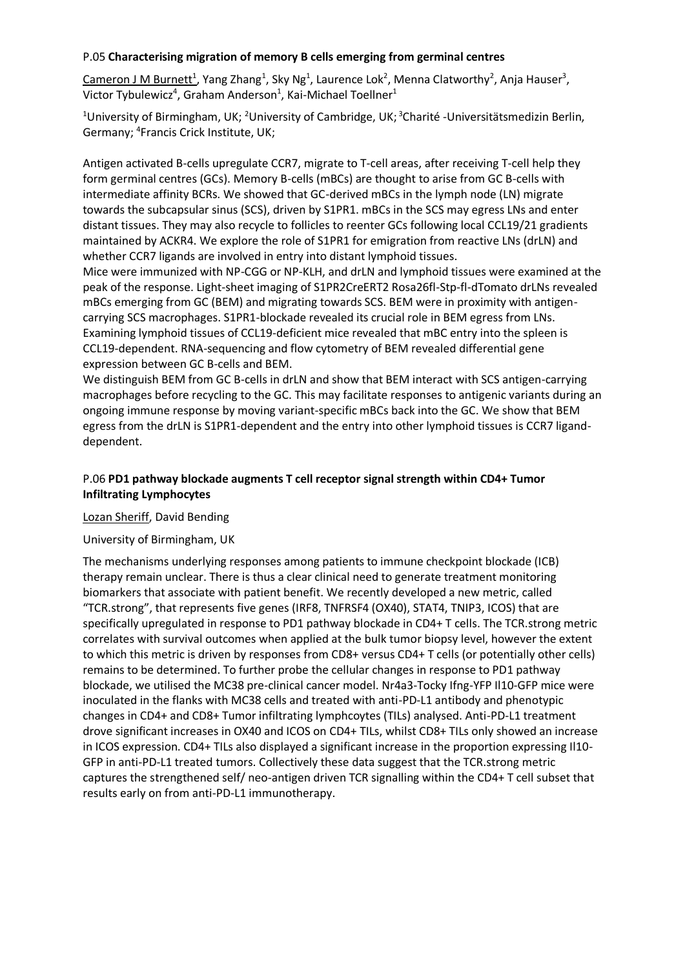#### P.05 **Characterising migration of memory B cells emerging from germinal centres**

 $Cameron J M Burnett<sup>1</sup>$ , Yang Zhang<sup>1</sup>, Sky Ng<sup>1</sup>, Laurence Lok<sup>2</sup>, Menna Clatworthy<sup>2</sup>, Anja Hauser<sup>3</sup>, Victor Tybulewicz<sup>4</sup>, Graham Anderson<sup>1</sup>, Kai-Michael Toellner<sup>1</sup>

<sup>1</sup>University of Birmingham, UK; <sup>2</sup>University of Cambridge, UK; <sup>3</sup>Charité -Universitätsmedizin Berlin, Germany; <sup>4</sup> Francis Crick Institute, UK;

Antigen activated B-cells upregulate CCR7, migrate to T-cell areas, after receiving T-cell help they form germinal centres (GCs). Memory B-cells (mBCs) are thought to arise from GC B-cells with intermediate affinity BCRs. We showed that GC-derived mBCs in the lymph node (LN) migrate towards the subcapsular sinus (SCS), driven by S1PR1. mBCs in the SCS may egress LNs and enter distant tissues. They may also recycle to follicles to reenter GCs following local CCL19/21 gradients maintained by ACKR4. We explore the role of S1PR1 for emigration from reactive LNs (drLN) and whether CCR7 ligands are involved in entry into distant lymphoid tissues.

Mice were immunized with NP-CGG or NP-KLH, and drLN and lymphoid tissues were examined at the peak of the response. Light-sheet imaging of S1PR2CreERT2 Rosa26fl-Stp-fl-dTomato drLNs revealed mBCs emerging from GC (BEM) and migrating towards SCS. BEM were in proximity with antigencarrying SCS macrophages. S1PR1-blockade revealed its crucial role in BEM egress from LNs. Examining lymphoid tissues of CCL19-deficient mice revealed that mBC entry into the spleen is CCL19-dependent. RNA-sequencing and flow cytometry of BEM revealed differential gene expression between GC B-cells and BEM.

We distinguish BEM from GC B-cells in drLN and show that BEM interact with SCS antigen-carrying macrophages before recycling to the GC. This may facilitate responses to antigenic variants during an ongoing immune response by moving variant-specific mBCs back into the GC. We show that BEM egress from the drLN is S1PR1-dependent and the entry into other lymphoid tissues is CCR7 liganddependent.

#### P.06 **PD1 pathway blockade augments T cell receptor signal strength within CD4+ Tumor Infiltrating Lymphocytes**

#### Lozan Sheriff, David Bending

#### University of Birmingham, UK

The mechanisms underlying responses among patients to immune checkpoint blockade (ICB) therapy remain unclear. There is thus a clear clinical need to generate treatment monitoring biomarkers that associate with patient benefit. We recently developed a new metric, called "TCR.strong", that represents five genes (IRF8, TNFRSF4 (OX40), STAT4, TNIP3, ICOS) that are specifically upregulated in response to PD1 pathway blockade in CD4+ T cells. The TCR.strong metric correlates with survival outcomes when applied at the bulk tumor biopsy level, however the extent to which this metric is driven by responses from CD8+ versus CD4+ T cells (or potentially other cells) remains to be determined. To further probe the cellular changes in response to PD1 pathway blockade, we utilised the MC38 pre-clinical cancer model. Nr4a3-Tocky Ifng-YFP Il10-GFP mice were inoculated in the flanks with MC38 cells and treated with anti-PD-L1 antibody and phenotypic changes in CD4+ and CD8+ Tumor infiltrating lymphcoytes (TILs) analysed. Anti-PD-L1 treatment drove significant increases in OX40 and ICOS on CD4+ TILs, whilst CD8+ TILs only showed an increase in ICOS expression. CD4+ TILs also displayed a significant increase in the proportion expressing Il10- GFP in anti-PD-L1 treated tumors. Collectively these data suggest that the TCR.strong metric captures the strengthened self/ neo-antigen driven TCR signalling within the CD4+ T cell subset that results early on from anti-PD-L1 immunotherapy.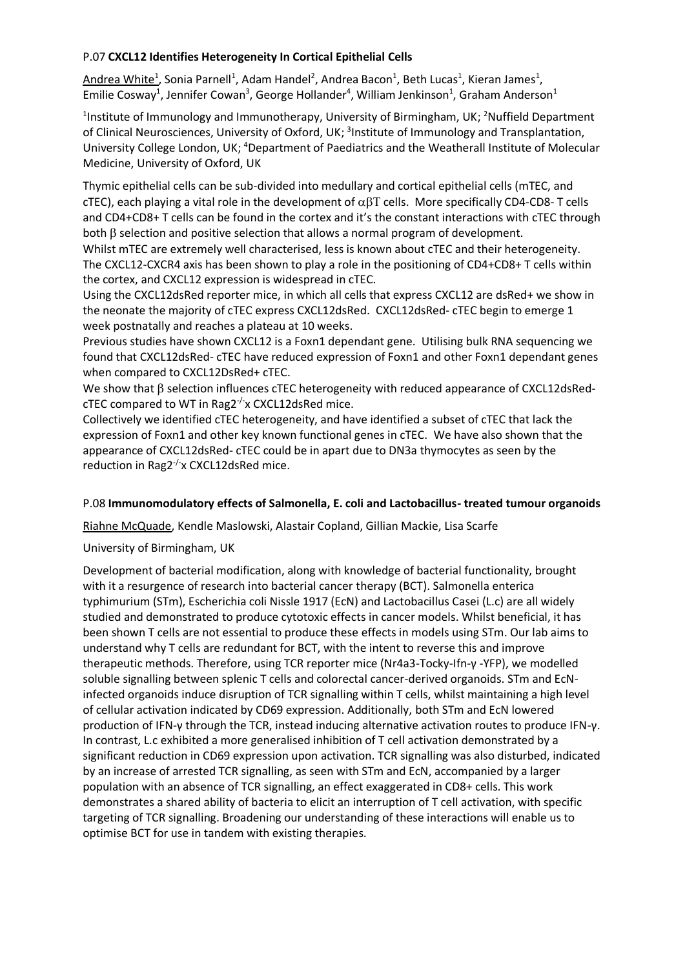#### P.07 **CXCL12 Identifies Heterogeneity In Cortical Epithelial Cells**

Andrea White<sup>1</sup>, Sonia Parnell<sup>1</sup>, Adam Handel<sup>2</sup>, Andrea Bacon<sup>1</sup>, Beth Lucas<sup>1</sup>, Kieran James<sup>1</sup>, Emilie Cosway<sup>1</sup>, Jennifer Cowan<sup>3</sup>, George Hollander<sup>4</sup>, William Jenkinson<sup>1</sup>, Graham Anderson<sup>1</sup>

<sup>1</sup>Institute of Immunology and Immunotherapy, University of Birmingham, UK; <sup>2</sup>Nuffield Department of Clinical Neurosciences, University of Oxford, UK; <sup>3</sup>Institute of Immunology and Transplantation, University College London, UK; <sup>4</sup>Department of Paediatrics and the Weatherall Institute of Molecular Medicine, University of Oxford, UK

Thymic epithelial cells can be sub-divided into medullary and cortical epithelial cells (mTEC, and cTEC), each playing a vital role in the development of  $\alpha\beta T$  cells. More specifically CD4-CD8-T cells and CD4+CD8+ T cells can be found in the cortex and it's the constant interactions with cTEC through both  $\beta$  selection and positive selection that allows a normal program of development.

Whilst mTEC are extremely well characterised, less is known about cTEC and their heterogeneity. The CXCL12-CXCR4 axis has been shown to play a role in the positioning of CD4+CD8+ T cells within the cortex, and CXCL12 expression is widespread in cTEC.

Using the CXCL12dsRed reporter mice, in which all cells that express CXCL12 are dsRed+ we show in the neonate the majority of cTEC express CXCL12dsRed. CXCL12dsRed- cTEC begin to emerge 1 week postnatally and reaches a plateau at 10 weeks.

Previous studies have shown CXCL12 is a Foxn1 dependant gene. Utilising bulk RNA sequencing we found that CXCL12dsRed- cTEC have reduced expression of Foxn1 and other Foxn1 dependant genes when compared to CXCL12DsRed+ cTEC.

We show that  $\beta$  selection influences cTEC heterogeneity with reduced appearance of CXCL12dsRed $c$ TEC compared to WT in Rag2 $\frac{1}{x}$  CXCL12dsRed mice.

Collectively we identified cTEC heterogeneity, and have identified a subset of cTEC that lack the expression of Foxn1 and other key known functional genes in cTEC. We have also shown that the appearance of CXCL12dsRed- cTEC could be in apart due to DN3a thymocytes as seen by the reduction in Rag2<sup>-/-</sup>x CXCL12dsRed mice.

#### P.08 **Immunomodulatory effects of Salmonella, E. coli and Lactobacillus- treated tumour organoids**

Riahne McQuade, Kendle Maslowski, Alastair Copland, Gillian Mackie, Lisa Scarfe

#### University of Birmingham, UK

Development of bacterial modification, along with knowledge of bacterial functionality, brought with it a resurgence of research into bacterial cancer therapy (BCT). Salmonella enterica typhimurium (STm), Escherichia coli Nissle 1917 (EcN) and Lactobacillus Casei (L.c) are all widely studied and demonstrated to produce cytotoxic effects in cancer models. Whilst beneficial, it has been shown T cells are not essential to produce these effects in models using STm. Our lab aims to understand why T cells are redundant for BCT, with the intent to reverse this and improve therapeutic methods. Therefore, using TCR reporter mice (Nr4a3-Tocky-Ifn-γ -YFP), we modelled soluble signalling between splenic T cells and colorectal cancer-derived organoids. STm and EcNinfected organoids induce disruption of TCR signalling within T cells, whilst maintaining a high level of cellular activation indicated by CD69 expression. Additionally, both STm and EcN lowered production of IFN-γ through the TCR, instead inducing alternative activation routes to produce IFN-γ. In contrast, L.c exhibited a more generalised inhibition of T cell activation demonstrated by a significant reduction in CD69 expression upon activation. TCR signalling was also disturbed, indicated by an increase of arrested TCR signalling, as seen with STm and EcN, accompanied by a larger population with an absence of TCR signalling, an effect exaggerated in CD8+ cells. This work demonstrates a shared ability of bacteria to elicit an interruption of T cell activation, with specific targeting of TCR signalling. Broadening our understanding of these interactions will enable us to optimise BCT for use in tandem with existing therapies.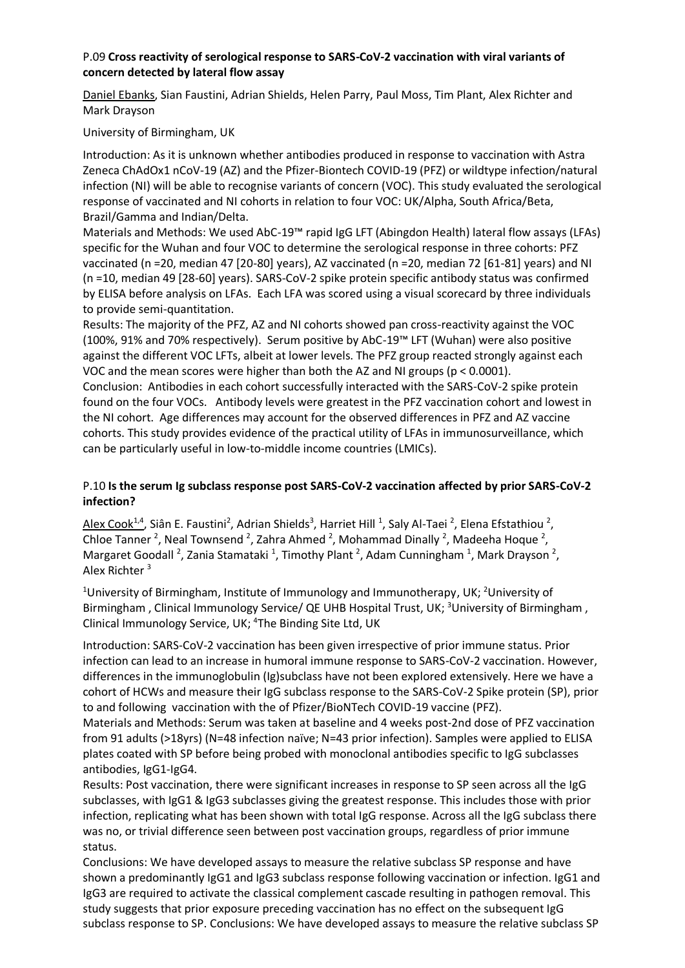#### P.09 **Cross reactivity of serological response to SARS-CoV-2 vaccination with viral variants of concern detected by lateral flow assay**

Daniel Ebanks, Sian Faustini, Adrian Shields, Helen Parry, Paul Moss, Tim Plant, Alex Richter and Mark Drayson

#### University of Birmingham, UK

Introduction: As it is unknown whether antibodies produced in response to vaccination with Astra Zeneca ChAdOx1 nCoV-19 (AZ) and the Pfizer-Biontech COVID-19 (PFZ) or wildtype infection/natural infection (NI) will be able to recognise variants of concern (VOC). This study evaluated the serological response of vaccinated and NI cohorts in relation to four VOC: UK/Alpha, South Africa/Beta, Brazil/Gamma and Indian/Delta.

Materials and Methods: We used AbC-19™ rapid IgG LFT (Abingdon Health) lateral flow assays (LFAs) specific for the Wuhan and four VOC to determine the serological response in three cohorts: PFZ vaccinated (n =20, median 47 [20-80] years), AZ vaccinated (n =20, median 72 [61-81] years) and NI (n =10, median 49 [28-60] years). SARS-CoV-2 spike protein specific antibody status was confirmed by ELISA before analysis on LFAs. Each LFA was scored using a visual scorecard by three individuals to provide semi-quantitation.

Results: The majority of the PFZ, AZ and NI cohorts showed pan cross-reactivity against the VOC (100%, 91% and 70% respectively). Serum positive by AbC-19™ LFT (Wuhan) were also positive against the different VOC LFTs, albeit at lower levels. The PFZ group reacted strongly against each VOC and the mean scores were higher than both the AZ and NI groups (p < 0.0001).

Conclusion: Antibodies in each cohort successfully interacted with the SARS-CoV-2 spike protein found on the four VOCs. Antibody levels were greatest in the PFZ vaccination cohort and lowest in the NI cohort. Age differences may account for the observed differences in PFZ and AZ vaccine cohorts. This study provides evidence of the practical utility of LFAs in immunosurveillance, which can be particularly useful in low-to-middle income countries (LMICs).

#### P.10 **Is the serum Ig subclass response post SARS-CoV-2 vaccination affected by prior SARS-CoV-2 infection?**

Alex Cook<sup>1,4</sup>, Siân E. Faustini<sup>2</sup>, Adrian Shields<sup>3</sup>, Harriet Hill <sup>1</sup>, Saly Al-Taei <sup>2</sup>, Elena Efstathiou <sup>2</sup>, Chloe Tanner<sup>2</sup>, Neal Townsend<sup>2</sup>, Zahra Ahmed<sup>2</sup>, Mohammad Dinally<sup>2</sup>, Madeeha Hoque<sup>2</sup>, Margaret Goodall<sup>2</sup>, Zania Stamataki<sup>1</sup>, Timothy Plant<sup>2</sup>, Adam Cunningham<sup>1</sup>, Mark Drayson<sup>2</sup>, Alex Richter <sup>3</sup>

<sup>1</sup>University of Birmingham, Institute of Immunology and Immunotherapy, UK; <sup>2</sup>University of Birmingham, Clinical Immunology Service/ QE UHB Hospital Trust, UK; <sup>3</sup>University of Birmingham, Clinical Immunology Service, UK; 4 The Binding Site Ltd, UK

Introduction: SARS-CoV-2 vaccination has been given irrespective of prior immune status. Prior infection can lead to an increase in humoral immune response to SARS-CoV-2 vaccination. However, differences in the immunoglobulin (Ig)subclass have not been explored extensively. Here we have a cohort of HCWs and measure their IgG subclass response to the SARS-CoV-2 Spike protein (SP), prior to and following vaccination with the of Pfizer/BioNTech COVID-19 vaccine (PFZ).

Materials and Methods: Serum was taken at baseline and 4 weeks post-2nd dose of PFZ vaccination from 91 adults (>18yrs) (N=48 infection naïve; N=43 prior infection). Samples were applied to ELISA plates coated with SP before being probed with monoclonal antibodies specific to IgG subclasses antibodies, IgG1-IgG4.

Results: Post vaccination, there were significant increases in response to SP seen across all the IgG subclasses, with IgG1 & IgG3 subclasses giving the greatest response. This includes those with prior infection, replicating what has been shown with total IgG response. Across all the IgG subclass there was no, or trivial difference seen between post vaccination groups, regardless of prior immune status.

Conclusions: We have developed assays to measure the relative subclass SP response and have shown a predominantly IgG1 and IgG3 subclass response following vaccination or infection. IgG1 and IgG3 are required to activate the classical complement cascade resulting in pathogen removal. This study suggests that prior exposure preceding vaccination has no effect on the subsequent IgG subclass response to SP. Conclusions: We have developed assays to measure the relative subclass SP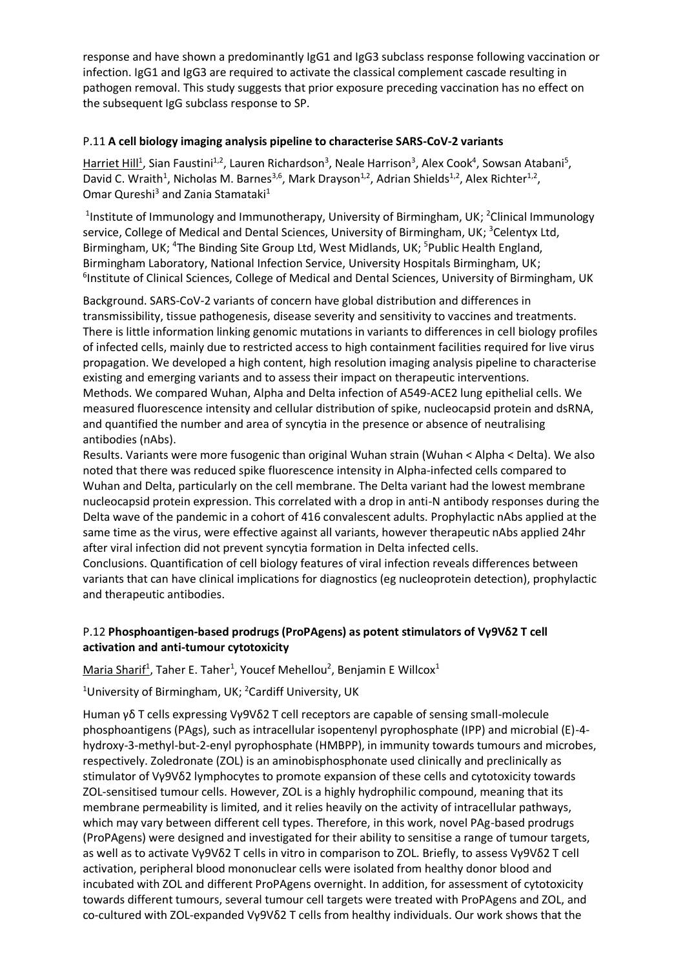response and have shown a predominantly IgG1 and IgG3 subclass response following vaccination or infection. IgG1 and IgG3 are required to activate the classical complement cascade resulting in pathogen removal. This study suggests that prior exposure preceding vaccination has no effect on the subsequent IgG subclass response to SP.

#### P.11 **A cell biology imaging analysis pipeline to characterise SARS-CoV-2 variants**

Harriet Hill<sup>1</sup>, Sian Faustini<sup>1,2</sup>, Lauren Richardson<sup>3</sup>, Neale Harrison<sup>3</sup>, Alex Cook<sup>4</sup>, Sowsan Atabani<sup>5</sup>, David C. Wraith<sup>1</sup>, Nicholas M. Barnes<sup>3,6</sup>, Mark Drayson<sup>1,2</sup>, Adrian Shields<sup>1,2</sup>, Alex Richter<sup>1,2</sup>, Omar Qureshi<sup>3</sup> and Zania Stamataki<sup>1</sup>

<sup>1</sup>Institute of Immunology and Immunotherapy, University of Birmingham, UK; <sup>2</sup>Clinical Immunology service, College of Medical and Dental Sciences, University of Birmingham, UK; <sup>3</sup>Celentyx Ltd, Birmingham, UK;<sup>4</sup>The Binding Site Group Ltd, West Midlands, UK;<sup>5</sup>Public Health England, Birmingham Laboratory, National Infection Service, University Hospitals Birmingham, UK; <sup>6</sup>Institute of Clinical Sciences, College of Medical and Dental Sciences, University of Birmingham, UK

Background. SARS-CoV-2 variants of concern have global distribution and differences in transmissibility, tissue pathogenesis, disease severity and sensitivity to vaccines and treatments. There is little information linking genomic mutations in variants to differences in cell biology profiles of infected cells, mainly due to restricted access to high containment facilities required for live virus propagation. We developed a high content, high resolution imaging analysis pipeline to characterise existing and emerging variants and to assess their impact on therapeutic interventions. Methods. We compared Wuhan, Alpha and Delta infection of A549-ACE2 lung epithelial cells. We measured fluorescence intensity and cellular distribution of spike, nucleocapsid protein and dsRNA, and quantified the number and area of syncytia in the presence or absence of neutralising antibodies (nAbs).

Results. Variants were more fusogenic than original Wuhan strain (Wuhan < Alpha < Delta). We also noted that there was reduced spike fluorescence intensity in Alpha-infected cells compared to Wuhan and Delta, particularly on the cell membrane. The Delta variant had the lowest membrane nucleocapsid protein expression. This correlated with a drop in anti-N antibody responses during the Delta wave of the pandemic in a cohort of 416 convalescent adults. Prophylactic nAbs applied at the same time as the virus, were effective against all variants, however therapeutic nAbs applied 24hr after viral infection did not prevent syncytia formation in Delta infected cells.

Conclusions. Quantification of cell biology features of viral infection reveals differences between variants that can have clinical implications for diagnostics (eg nucleoprotein detection), prophylactic and therapeutic antibodies.

#### P.12 **Phosphoantigen-based prodrugs (ProPAgens) as potent stimulators of Vγ9Vδ2 T cell activation and anti-tumour cytotoxicity**

Maria Sharif<sup>1</sup>, Taher E. Taher<sup>1</sup>, Youcef Mehellou<sup>2</sup>, Benjamin E Willcox<sup>1</sup>

<sup>1</sup>University of Birmingham, UK; <sup>2</sup>Cardiff University, UK

Human γδ T cells expressing Vγ9Vδ2 T cell receptors are capable of sensing small-molecule phosphoantigens (PAgs), such as intracellular isopentenyl pyrophosphate (IPP) and microbial (E)-4 hydroxy-3-methyl-but-2-enyl pyrophosphate (HMBPP), in immunity towards tumours and microbes, respectively. Zoledronate (ZOL) is an aminobisphosphonate used clinically and preclinically as stimulator of Vγ9Vδ2 lymphocytes to promote expansion of these cells and cytotoxicity towards ZOL-sensitised tumour cells. However, ZOL is a highly hydrophilic compound, meaning that its membrane permeability is limited, and it relies heavily on the activity of intracellular pathways, which may vary between different cell types. Therefore, in this work, novel PAg-based prodrugs (ProPAgens) were designed and investigated for their ability to sensitise a range of tumour targets, as well as to activate Vγ9Vδ2 T cells in vitro in comparison to ZOL. Briefly, to assess Vγ9Vδ2 T cell activation, peripheral blood mononuclear cells were isolated from healthy donor blood and incubated with ZOL and different ProPAgens overnight. In addition, for assessment of cytotoxicity towards different tumours, several tumour cell targets were treated with ProPAgens and ZOL, and co-cultured with ZOL-expanded Vγ9Vδ2 T cells from healthy individuals. Our work shows that the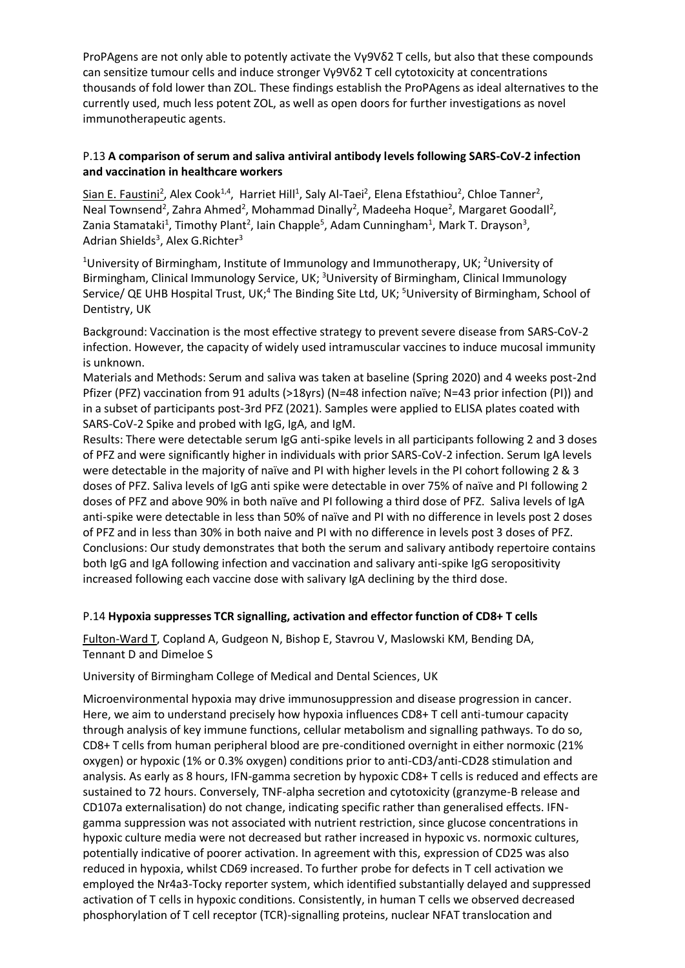ProPAgens are not only able to potently activate the Vγ9Vδ2 T cells, but also that these compounds can sensitize tumour cells and induce stronger Vγ9Vδ2 T cell cytotoxicity at concentrations thousands of fold lower than ZOL. These findings establish the ProPAgens as ideal alternatives to the currently used, much less potent ZOL, as well as open doors for further investigations as novel immunotherapeutic agents.

#### P.13 **A comparison of serum and saliva antiviral antibody levels following SARS-CoV-2 infection and vaccination in healthcare workers**

Sian E. Faustini<sup>2</sup>, Alex Cook<sup>1,4</sup>, Harriet Hill<sup>1</sup>, Saly Al-Taei<sup>2</sup>, Elena Efstathiou<sup>2</sup>, Chloe Tanner<sup>2</sup>, Neal Townsend<sup>2</sup>, Zahra Ahmed<sup>2</sup>, Mohammad Dinally<sup>2</sup>, Madeeha Hoque<sup>2</sup>, Margaret Goodall<sup>2</sup>, Zania Stamataki<sup>1</sup>, Timothy Plant<sup>2</sup>, Iain Chapple<sup>5</sup>, Adam Cunningham<sup>1</sup>, Mark T. Drayson<sup>3</sup>, Adrian Shields<sup>3</sup>, Alex G.Richter<sup>3</sup>

<sup>1</sup>University of Birmingham, Institute of Immunology and Immunotherapy, UK; <sup>2</sup>University of Birmingham, Clinical Immunology Service, UK; <sup>3</sup>University of Birmingham, Clinical Immunology Service/ QE UHB Hospital Trust, UK;<sup>4</sup> The Binding Site Ltd, UK; <sup>5</sup>University of Birmingham, School of Dentistry, UK

Background: Vaccination is the most effective strategy to prevent severe disease from SARS-CoV-2 infection. However, the capacity of widely used intramuscular vaccines to induce mucosal immunity is unknown.

Materials and Methods: Serum and saliva was taken at baseline (Spring 2020) and 4 weeks post-2nd Pfizer (PFZ) vaccination from 91 adults (>18yrs) (N=48 infection naïve; N=43 prior infection (PI)) and in a subset of participants post-3rd PFZ (2021). Samples were applied to ELISA plates coated with SARS-CoV-2 Spike and probed with IgG, IgA, and IgM.

Results: There were detectable serum IgG anti-spike levels in all participants following 2 and 3 doses of PFZ and were significantly higher in individuals with prior SARS-CoV-2 infection. Serum IgA levels were detectable in the majority of naïve and PI with higher levels in the PI cohort following 2 & 3 doses of PFZ. Saliva levels of IgG anti spike were detectable in over 75% of naïve and PI following 2 doses of PFZ and above 90% in both naïve and PI following a third dose of PFZ. Saliva levels of IgA anti-spike were detectable in less than 50% of naïve and PI with no difference in levels post 2 doses of PFZ and in less than 30% in both naive and PI with no difference in levels post 3 doses of PFZ. Conclusions: Our study demonstrates that both the serum and salivary antibody repertoire contains both IgG and IgA following infection and vaccination and salivary anti-spike IgG seropositivity increased following each vaccine dose with salivary IgA declining by the third dose.

#### P.14 **Hypoxia suppresses TCR signalling, activation and effector function of CD8+ T cells**

Fulton-Ward T, Copland A, Gudgeon N, Bishop E, Stavrou V, Maslowski KM, Bending DA, Tennant D and Dimeloe S

University of Birmingham College of Medical and Dental Sciences, UK

Microenvironmental hypoxia may drive immunosuppression and disease progression in cancer. Here, we aim to understand precisely how hypoxia influences CD8+ T cell anti-tumour capacity through analysis of key immune functions, cellular metabolism and signalling pathways. To do so, CD8+ T cells from human peripheral blood are pre-conditioned overnight in either normoxic (21% oxygen) or hypoxic (1% or 0.3% oxygen) conditions prior to anti-CD3/anti-CD28 stimulation and analysis. As early as 8 hours, IFN-gamma secretion by hypoxic CD8+ T cells is reduced and effects are sustained to 72 hours. Conversely, TNF-alpha secretion and cytotoxicity (granzyme-B release and CD107a externalisation) do not change, indicating specific rather than generalised effects. IFNgamma suppression was not associated with nutrient restriction, since glucose concentrations in hypoxic culture media were not decreased but rather increased in hypoxic vs. normoxic cultures, potentially indicative of poorer activation. In agreement with this, expression of CD25 was also reduced in hypoxia, whilst CD69 increased. To further probe for defects in T cell activation we employed the Nr4a3-Tocky reporter system, which identified substantially delayed and suppressed activation of T cells in hypoxic conditions. Consistently, in human T cells we observed decreased phosphorylation of T cell receptor (TCR)-signalling proteins, nuclear NFAT translocation and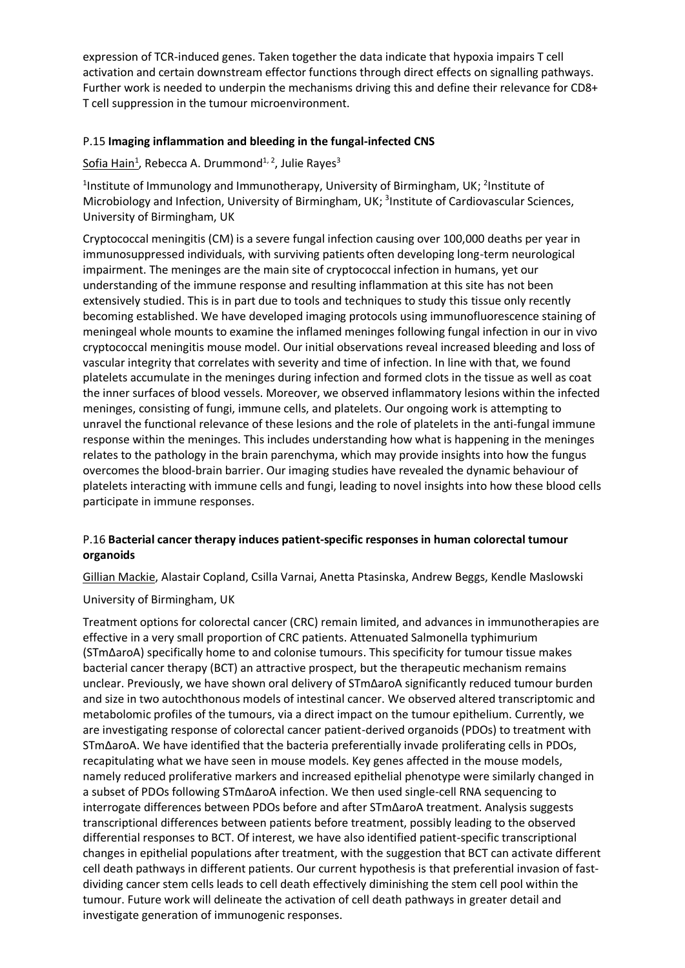expression of TCR-induced genes. Taken together the data indicate that hypoxia impairs T cell activation and certain downstream effector functions through direct effects on signalling pathways. Further work is needed to underpin the mechanisms driving this and define their relevance for CD8+ T cell suppression in the tumour microenvironment.

#### P.15 **Imaging inflammation and bleeding in the fungal-infected CNS**

Sofia Hain<sup>1</sup>, Rebecca A. Drummond<sup>1, 2</sup>, Julie Rayes<sup>3</sup>

<sup>1</sup>Institute of Immunology and Immunotherapy, University of Birmingham, UK; <sup>2</sup>Institute of Microbiology and Infection, University of Birmingham, UK; <sup>3</sup>Institute of Cardiovascular Sciences, University of Birmingham, UK

Cryptococcal meningitis (CM) is a severe fungal infection causing over 100,000 deaths per year in immunosuppressed individuals, with surviving patients often developing long-term neurological impairment. The meninges are the main site of cryptococcal infection in humans, yet our understanding of the immune response and resulting inflammation at this site has not been extensively studied. This is in part due to tools and techniques to study this tissue only recently becoming established. We have developed imaging protocols using immunofluorescence staining of meningeal whole mounts to examine the inflamed meninges following fungal infection in our in vivo cryptococcal meningitis mouse model. Our initial observations reveal increased bleeding and loss of vascular integrity that correlates with severity and time of infection. In line with that, we found platelets accumulate in the meninges during infection and formed clots in the tissue as well as coat the inner surfaces of blood vessels. Moreover, we observed inflammatory lesions within the infected meninges, consisting of fungi, immune cells, and platelets. Our ongoing work is attempting to unravel the functional relevance of these lesions and the role of platelets in the anti-fungal immune response within the meninges. This includes understanding how what is happening in the meninges relates to the pathology in the brain parenchyma, which may provide insights into how the fungus overcomes the blood-brain barrier. Our imaging studies have revealed the dynamic behaviour of platelets interacting with immune cells and fungi, leading to novel insights into how these blood cells participate in immune responses.

#### P.16 **Bacterial cancer therapy induces patient-specific responses in human colorectal tumour organoids**

Gillian Mackie, Alastair Copland, Csilla Varnai, Anetta Ptasinska, Andrew Beggs, Kendle Maslowski

University of Birmingham, UK

Treatment options for colorectal cancer (CRC) remain limited, and advances in immunotherapies are effective in a very small proportion of CRC patients. Attenuated Salmonella typhimurium (STmΔaroA) specifically home to and colonise tumours. This specificity for tumour tissue makes bacterial cancer therapy (BCT) an attractive prospect, but the therapeutic mechanism remains unclear. Previously, we have shown oral delivery of STmΔaroA significantly reduced tumour burden and size in two autochthonous models of intestinal cancer. We observed altered transcriptomic and metabolomic profiles of the tumours, via a direct impact on the tumour epithelium. Currently, we are investigating response of colorectal cancer patient-derived organoids (PDOs) to treatment with STmΔaroA. We have identified that the bacteria preferentially invade proliferating cells in PDOs, recapitulating what we have seen in mouse models. Key genes affected in the mouse models, namely reduced proliferative markers and increased epithelial phenotype were similarly changed in a subset of PDOs following STmΔaroA infection. We then used single-cell RNA sequencing to interrogate differences between PDOs before and after STmΔaroA treatment. Analysis suggests transcriptional differences between patients before treatment, possibly leading to the observed differential responses to BCT. Of interest, we have also identified patient-specific transcriptional changes in epithelial populations after treatment, with the suggestion that BCT can activate different cell death pathways in different patients. Our current hypothesis is that preferential invasion of fastdividing cancer stem cells leads to cell death effectively diminishing the stem cell pool within the tumour. Future work will delineate the activation of cell death pathways in greater detail and investigate generation of immunogenic responses.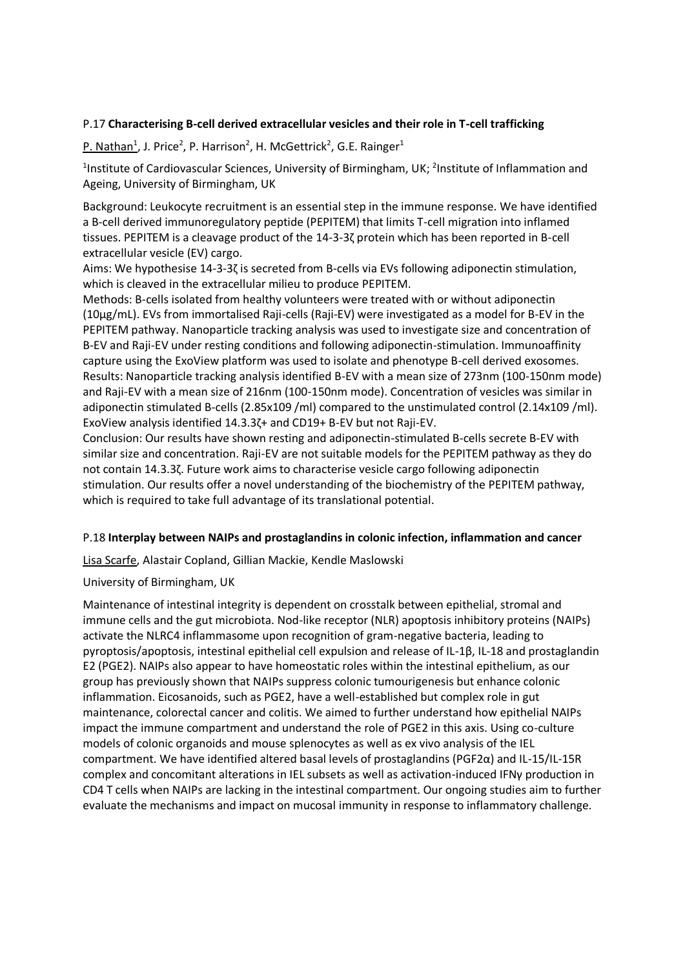#### P.17 **Characterising B-cell derived extracellular vesicles and their role in T-cell trafficking**

P. Nathan<sup>1</sup>, J. Price<sup>2</sup>, P. Harrison<sup>2</sup>, H. McGettrick<sup>2</sup>, G.E. Rainger<sup>1</sup>

<sup>1</sup>Institute of Cardiovascular Sciences, University of Birmingham, UK; <sup>2</sup>Institute of Inflammation and Ageing, University of Birmingham, UK

Background: Leukocyte recruitment is an essential step in the immune response. We have identified a B-cell derived immunoregulatory peptide (PEPITEM) that limits T-cell migration into inflamed tissues. PEPITEM is a cleavage product of the 14-3-3ζ protein which has been reported in B-cell extracellular vesicle (EV) cargo.

Aims: We hypothesise 14-3-3ζ is secreted from B-cells via EVs following adiponectin stimulation, which is cleaved in the extracellular milieu to produce PEPITEM.

Methods: B-cells isolated from healthy volunteers were treated with or without adiponectin (10μg/mL). EVs from immortalised Raji-cells (Raji-EV) were investigated as a model for B-EV in the PEPITEM pathway. Nanoparticle tracking analysis was used to investigate size and concentration of B-EV and Raji-EV under resting conditions and following adiponectin-stimulation. Immunoaffinity capture using the ExoView platform was used to isolate and phenotype B-cell derived exosomes. Results: Nanoparticle tracking analysis identified B-EV with a mean size of 273nm (100-150nm mode) and Raji-EV with a mean size of 216nm (100-150nm mode). Concentration of vesicles was similar in adiponectin stimulated B-cells (2.85x109 /ml) compared to the unstimulated control (2.14x109 /ml). ExoView analysis identified 14.3.3ζ+ and CD19+ B-EV but not Raji-EV.

Conclusion: Our results have shown resting and adiponectin-stimulated B-cells secrete B-EV with similar size and concentration. Raji-EV are not suitable models for the PEPITEM pathway as they do not contain 14.3.3ζ. Future work aims to characterise vesicle cargo following adiponectin stimulation. Our results offer a novel understanding of the biochemistry of the PEPITEM pathway, which is required to take full advantage of its translational potential.

#### P.18 **Interplay between NAIPs and prostaglandins in colonic infection, inflammation and cancer**

Lisa Scarfe, Alastair Copland, Gillian Mackie, Kendle Maslowski

University of Birmingham, UK

Maintenance of intestinal integrity is dependent on crosstalk between epithelial, stromal and immune cells and the gut microbiota. Nod-like receptor (NLR) apoptosis inhibitory proteins (NAIPs) activate the NLRC4 inflammasome upon recognition of gram-negative bacteria, leading to pyroptosis/apoptosis, intestinal epithelial cell expulsion and release of IL-1β, IL-18 and prostaglandin E2 (PGE2). NAIPs also appear to have homeostatic roles within the intestinal epithelium, as our group has previously shown that NAIPs suppress colonic tumourigenesis but enhance colonic inflammation. Eicosanoids, such as PGE2, have a well-established but complex role in gut maintenance, colorectal cancer and colitis. We aimed to further understand how epithelial NAIPs impact the immune compartment and understand the role of PGE2 in this axis. Using co-culture models of colonic organoids and mouse splenocytes as well as ex vivo analysis of the IEL compartment. We have identified altered basal levels of prostaglandins (PGF2α) and IL-15/IL-15R complex and concomitant alterations in IEL subsets as well as activation-induced IFNγ production in CD4 T cells when NAIPs are lacking in the intestinal compartment. Our ongoing studies aim to further evaluate the mechanisms and impact on mucosal immunity in response to inflammatory challenge.